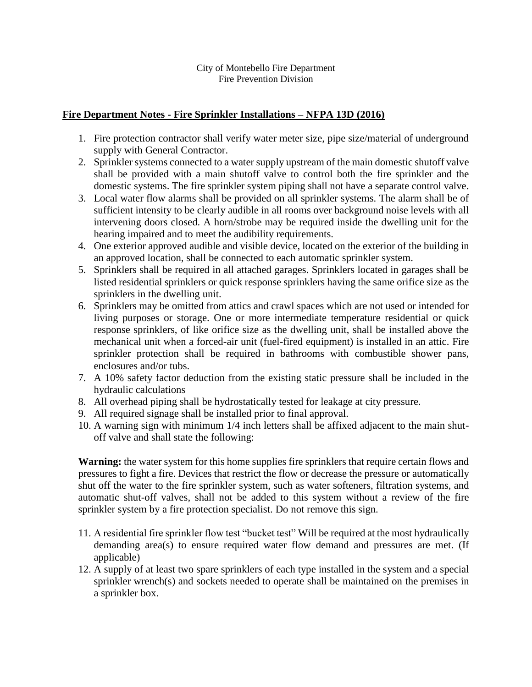## City of Montebello Fire Department Fire Prevention Division

## **Fire Department Notes - Fire Sprinkler Installations – NFPA 13D (2016)**

- 1. Fire protection contractor shall verify water meter size, pipe size/material of underground supply with General Contractor.
- 2. Sprinkler systems connected to a water supply upstream of the main domestic shutoff valve shall be provided with a main shutoff valve to control both the fire sprinkler and the domestic systems. The fire sprinkler system piping shall not have a separate control valve.
- 3. Local water flow alarms shall be provided on all sprinkler systems. The alarm shall be of sufficient intensity to be clearly audible in all rooms over background noise levels with all intervening doors closed. A horn/strobe may be required inside the dwelling unit for the hearing impaired and to meet the audibility requirements.
- 4. One exterior approved audible and visible device, located on the exterior of the building in an approved location, shall be connected to each automatic sprinkler system.
- 5. Sprinklers shall be required in all attached garages. Sprinklers located in garages shall be listed residential sprinklers or quick response sprinklers having the same orifice size as the sprinklers in the dwelling unit.
- 6. Sprinklers may be omitted from attics and crawl spaces which are not used or intended for living purposes or storage. One or more intermediate temperature residential or quick response sprinklers, of like orifice size as the dwelling unit, shall be installed above the mechanical unit when a forced-air unit (fuel-fired equipment) is installed in an attic. Fire sprinkler protection shall be required in bathrooms with combustible shower pans, enclosures and/or tubs.
- 7. A 10% safety factor deduction from the existing static pressure shall be included in the hydraulic calculations
- 8. All overhead piping shall be hydrostatically tested for leakage at city pressure.
- 9. All required signage shall be installed prior to final approval.
- 10. A warning sign with minimum 1/4 inch letters shall be affixed adjacent to the main shutoff valve and shall state the following:

**Warning:** the water system for this home supplies fire sprinklers that require certain flows and pressures to fight a fire. Devices that restrict the flow or decrease the pressure or automatically shut off the water to the fire sprinkler system, such as water softeners, filtration systems, and automatic shut-off valves, shall not be added to this system without a review of the fire sprinkler system by a fire protection specialist. Do not remove this sign.

- 11. A residential fire sprinkler flow test "bucket test" Will be required at the most hydraulically demanding area(s) to ensure required water flow demand and pressures are met. (If applicable)
- 12. A supply of at least two spare sprinklers of each type installed in the system and a special sprinkler wrench(s) and sockets needed to operate shall be maintained on the premises in a sprinkler box.